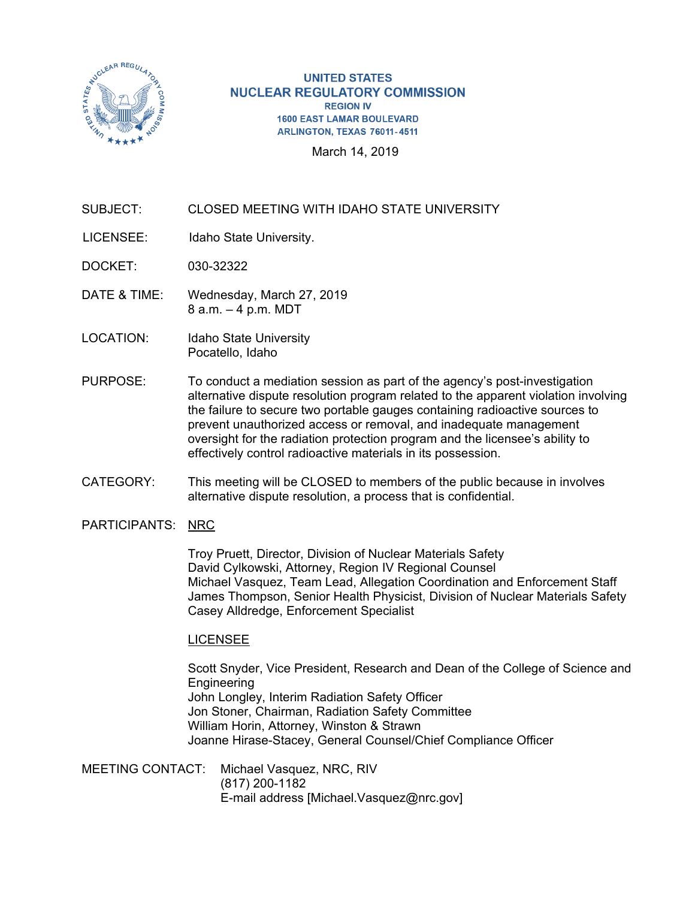

#### **UNITED STATES NUCLEAR REGULATORY COMMISSION REGION IV 1600 EAST LAMAR BOULEVARD** ARLINGTON, TEXAS 76011-4511

March 14, 2019

# SUBJECT: CLOSED MEETING WITH IDAHO STATE UNIVERSITY

- LICENSEE: Idaho State University.
- DOCKET: 030-32322
- DATE & TIME: Wednesday, March 27, 2019 8 a.m. – 4 p.m. MDT
- LOCATION: Idaho State University Pocatello, Idaho
- PURPOSE: To conduct a mediation session as part of the agency's post-investigation alternative dispute resolution program related to the apparent violation involving the failure to secure two portable gauges containing radioactive sources to prevent unauthorized access or removal, and inadequate management oversight for the radiation protection program and the licensee's ability to effectively control radioactive materials in its possession.
- CATEGORY: This meeting will be CLOSED to members of the public because in involves alternative dispute resolution, a process that is confidential.

## PARTICIPANTS: NRC

Troy Pruett, Director, Division of Nuclear Materials Safety David Cylkowski, Attorney, Region IV Regional Counsel Michael Vasquez, Team Lead, Allegation Coordination and Enforcement Staff James Thompson, Senior Health Physicist, Division of Nuclear Materials Safety Casey Alldredge, Enforcement Specialist

## LICENSEE

Scott Snyder, Vice President, Research and Dean of the College of Science and **Engineering** John Longley, Interim Radiation Safety Officer Jon Stoner, Chairman, Radiation Safety Committee William Horin, Attorney, Winston & Strawn Joanne Hirase-Stacey, General Counsel/Chief Compliance Officer

MEETING CONTACT: Michael Vasquez, NRC, RIV (817) 200-1182 E-mail address [Michael.Vasquez@nrc.gov]